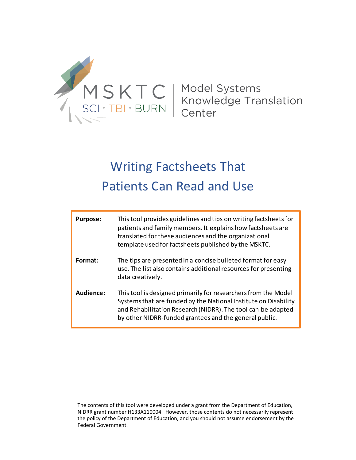

# Writing Factsheets That Patients Can Read and Use

| <b>Purpose:</b> | This tool provides guidelines and tips on writing factsheets for<br>patients and family members. It explains how factsheets are<br>translated for these audiences and the organizational<br>template used for factsheets published by the MSKTC.            |
|-----------------|-------------------------------------------------------------------------------------------------------------------------------------------------------------------------------------------------------------------------------------------------------------|
| Format:         | The tips are presented in a concise bulleted format for easy<br>use. The list also contains additional resources for presenting<br>data creatively.                                                                                                         |
| Audience:       | This tool is designed primarily for researchers from the Model<br>Systems that are funded by the National Institute on Disability<br>and Rehabilitation Research (NIDRR). The tool can be adapted<br>by other NIDRR-funded grantees and the general public. |

The contents of this tool were developed under a grant from the Department of Education, NIDRR grant number H133A110004. However, those contents do not necessarily represent the policy of the Department of Education, and you should not assume endorsement by the Federal Government.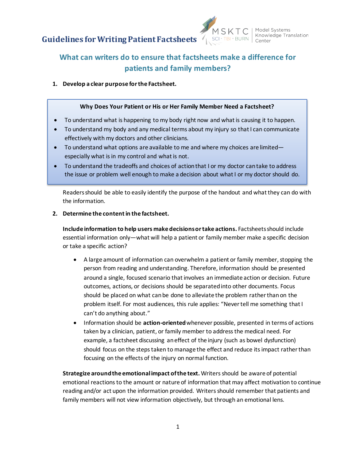

SKTC | Model Systems<br>TBI BURN | Knowledge Translation<br>Center

### **What can writers do to ensure that factsheets make a difference for patients and family members?**

**1. Develop a clear purpose for the Factsheet.** 

#### **Why Does Your Patient or His or Her Family Member Need a Factsheet?**

- To understand what is happening to my body right now and what is causing it to happen.
- To understand my body and any medical terms about my injury so that I can communicate effectively with my doctors and other clinicians.
- To understand what options are available to me and where my choices are limited especially what is in my control and what is not.
- To understand the tradeoffs and choices of action that I or my doctor can take to address the issue or problem well enough to make a decision about what I or my doctor should do.

Readers should be able to easily identify the purpose of the handout and what they can do with the information.

#### **2. Determine the content in the factsheet.**

**Include information to help users make decisions or take actions.** Factsheets should include essential information only—what will help a patient or family member make a specific decision or take a specific action?

- A large amount of information can overwhelm a patient or family member, stopping the person from reading and understanding. Therefore, information should be presented around a single, focused scenario that involves an immediate action or decision. Future outcomes, actions, or decisions should be separated into other documents. Focus should be placed on what can be done to alleviate the problem rather than on the problem itself. For most audiences, this rule applies: "Never tell me something that I can't do anything about."
- Information should be **action-oriented**whenever possible, presented in terms of actions taken by a clinician, patient, or family member to address the medical need. For example, a factsheet discussing an effect of the injury (such as bowel dysfunction) should focus on the steps taken to manage the effect and reduce its impact rather than focusing on the effects of the injury on normal function.

**Strategize around the emotional impact of the text.** Writers should be aware of potential emotional reactions to the amount or nature of information that may affect motivation to continue reading and/or act upon the information provided. Writers should remember that patients and family members will not view information objectively, but through an emotional lens.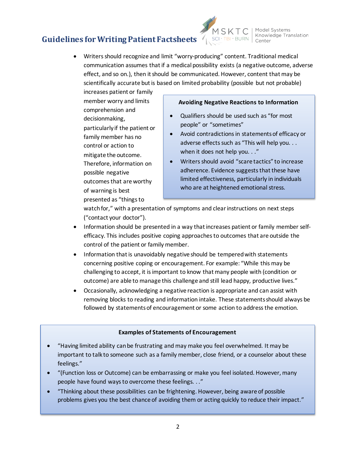

KTC | Model Systems<br>No BLIDN | Knowledge Translation

• Writers should recognize and limit "worry-producing" content. Traditional medical communication assumes that if a medical possibility exists (a negative outcome, adverse effect, and so on.), then it should be communicated. However, content that may be scientifically accurate but is based on limited probability (possible but not probable)

increases patient or family member worry and limits comprehension and decisionmaking, particularly if the patient or family member has no control or action to mitigate the outcome. Therefore, information on possible negative outcomes that are worthy of warning is best presented as "things to

#### **Avoiding Negative Reactions to Information**

- Qualifiers should be used such as "for most people" or "sometimes"
- Avoid contradictions in statements of efficacy or adverse effects such as "This will help you. . . when it does not help you. . ."
- Writers should avoid "scare tactics" to increase adherence. Evidence suggests that these have limited effectiveness, particularly in individuals who are at heightened emotional stress.

watch for," with a presentation of symptoms and clear instructions on next steps ("contact your doctor").

- Information should be presented in a way that increases patient or family member selfefficacy. This includes positive coping approaches to outcomes that are outside the control of the patient or family member.
- Information that is unavoidably negative should be tempered with statements concerning positive coping or encouragement. For example: "While this may be challenging to accept, it is important to know that many people with (condition or outcome) are able to manage this challenge and still lead happy, productive lives."
- Occasionally, acknowledging a negative reaction is appropriate and can assist with removing blocks to reading and information intake. These statements should always be followed by statements of encouragement or some action to address the emotion.

#### **Examples of Statements of Encouragement**

- "Having limited ability can be frustrating and may make you feel overwhelmed. It may be important to talk to someone such as a family member, close friend, or a counselor about these feelings."
- "(Function loss or Outcome) can be embarrassing or make you feel isolated. However, many people have found ways to overcome these feelings. . ."
- "Thinking about these possibilities can be frightening. However, being aware of possible problems gives you the best chance of avoiding them or acting quickly to reduce their impact."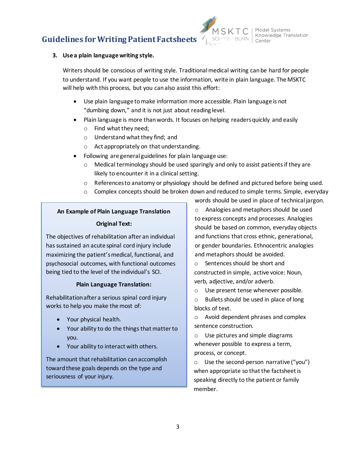

#### **3. Use a plain language writing style.**

Writers should be conscious of writing style. Traditional medical writing can be hard for people to understand. If you want people to use the information, write in plain language. The MSKTC will help with this process, but you can also assist this effort:

- Use plain language to make information more accessible. Plain language is not "dumbing down," and it is not just about reading level.
- Plain language is more than words. It focuses on helping readers quickly and easily
	- o Find what they need;
	- o Understand what they find; and
	- o Act appropriately on that understanding.
- Following are general guidelines for plain language use:
	- $\circ$  Medical terminology should be used sparingly and only to assist patients if they are likely to encounter it in a clinical setting.
	- o References to anatomy or physiology should be defined and pictured before being used.
	- $\circ$  Complex concepts should be broken down and reduced to simple terms. Simple, everyday

# **An Example of Plain Language Translation**

#### **Original Text:**

The objectives of rehabilitation after an individual has sustained an acute spinal cord injury include maximizing the patient's medical, functional, and psychosocial outcomes, with functional outcomes being tied to the level of the individual's SCI.

#### **Plain Language Translation:**

Rehabilitation after a serious spinal cord injury works to help you make the most of:

- Your physical health.
- Your ability to do the things that matter to you.
- Your ability to interact with others.

The amount that rehabilitation can accomplish toward these goals depends on the type and seriousness of your injury.

words should be used in place of technical jargon. o Analogies and metaphors should be used to express concepts and processes. Analogies should be based on common, everyday objects and functions that cross ethnic, generational, or gender boundaries. Ethnocentric analogies and metaphors should be avoided.

- o Sentences should be short and constructed in simple, active voice: Noun, verb, adjective, and/or adverb.
- o Use present tense whenever possible.

o Bullets should be used in place of long blocks of text.

o Avoid dependent phrases and complex sentence construction.

o Use pictures and simple diagrams whenever possible to express a term, process, or concept.

o Use the second-person narrative ("you") when appropriate so that the factsheet is speaking directly to the patient or family member.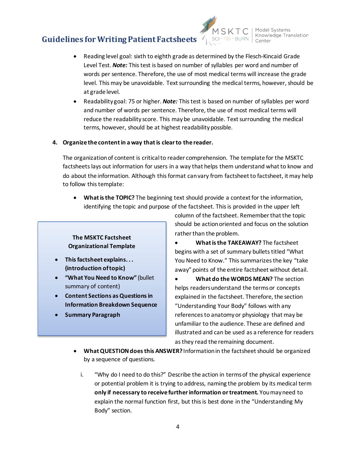

Model Systems<br>Knowledge Translation

- Reading level goal: sixth to eighth grade as determined by the Flesch-Kincaid Grade Level Test. *Note:* This test is based on number of syllables per word and number of words per sentence. Therefore, the use of most medical terms will increase the grade level. This may be unavoidable. Text surrounding the medical terms, however, should be at grade level*.*
- Readability goal: 75 or higher. *Note:* This test is based on number of syllables per word and number of words per sentence. Therefore, the use of most medical terms will reduce the readability score. This may be unavoidable. Text surrounding the medical terms, however, should be at highest readability possible.

#### **4. Organize the content in a way that is clear to the reader.**

The organization of content is critical to reader comprehension. The template for the MSKTC factsheets lays out information for users in a way that helps them understand what to know and do about the information. Although this format can vary from factsheet to factsheet, it may help to follow this template:

• **What is the TOPIC?** The beginning text should provide a context for the information, identifying the topic and purpose of the factsheet. This is provided in the upper left

#### **The MSKTC Factsheet Organizational Template**

- **This factsheet explains. . . (introduction of topic)**
- **"What You Need to Know"** (bullet summary of content)
- **Content Sections as Questions in Information Breakdown Sequence**
- **Summary Paragraph**

column of the factsheet. Remember that the topic should be action oriented and focus on the solution rather than the problem.

• **Whatis the TAKEAWAY?** The factsheet begins with a set of summary bullets titled "What You Need to Know." This summarizes the key "take away" points of the entire factsheet without detail.

• **What do theWORDS MEAN?** The section helps readers understand the terms or concepts explained in the factsheet. Therefore, the section "Understanding Your Body" follows with any references to anatomy or physiology that may be unfamiliar to the audience. These are defined and illustrated and can be used as a reference for readers as they read the remaining document.

- **WhatQUESTION does this ANSWER?**Information in the factsheetshould be organized by a sequence of questions.
	- i. "Why do I need to do this?" Describe the action in terms of the physical experience or potential problem it is trying to address, naming the problem by its medical term **only if necessary to receive further information or treatment.** You may need to explain the normal function first, but this is best done in the "Understanding My Body" section.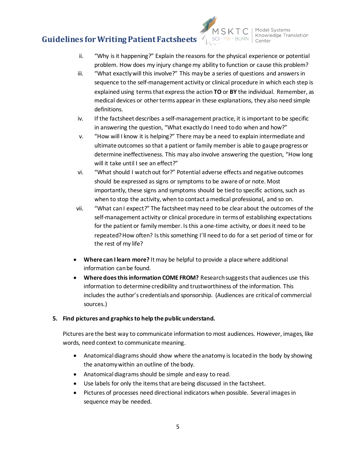

Model Systems<br>Knowledge Translation

- ii. "Why is it happening?" Explain the reasons for the physical experience or potential problem. How does my injury change my ability to function or cause this problem?
- iii. "What exactly will this involve?" This may be a series of questions and answers in sequence to the self-management activity or clinical procedure in which each step is explained using terms that express the action **TO** or **BY** the individual. Remember, as medical devices or other terms appear in these explanations, they also need simple definitions.
- iv. If the factsheet describes a self-management practice, it is important to be specific in answering the question, "What exactly do I need to do when and how?"
- v. "How will I know it is helping?" There may be a need to explain intermediate and ultimate outcomes so that a patient or family member is able to gauge progress or determine ineffectiveness. This may also involve answering the question, "How long will it take until I see an effect?"
- vi. "What should I watch out for?" Potential adverse effects and negative outcomes should be expressed as signs or symptoms to be aware of or note. Most importantly, these signs and symptoms should be tied to specific actions, such as when to stop the activity, when to contact a medical professional, and so on.
- vii. "What can I expect?" The factsheet may need to be clear about the outcomes of the self-management activity or clinical procedure in terms of establishing expectations for the patient or family member. Is this a one-time activity, or does it need to be repeated?How often? Is this something I'll need to do for a set period of time or for the rest of my life?
- **Where can I learn more?** It may be helpful to provide a place where additional information can be found.
- **Where does this information COME FROM?** Research suggests that audiences use this information to determine credibility and trustworthiness of the information. This includes the author's credentials and sponsorship. (Audiences are critical of commercial sources.)

#### **5. Find pictures and graphics to help the public understand.**

Pictures are the best way to communicate information to most audiences. However, images, like words, need context to communicate meaning.

- Anatomical diagrams should show where the anatomy is located in the body by showing the anatomy within an outline of the body.
- Anatomical diagrams should be simple and easy to read.
- Use labels for only the items that are being discussed in the factsheet.
- Pictures of processes need directional indicators when possible. Several images in sequence may be needed.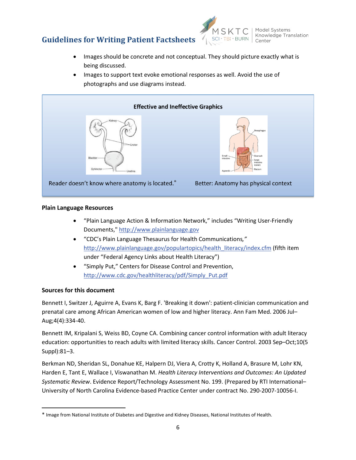

Model Systems Knowledge Translation

- Images should be concrete and not conceptual. They should picture exactly what is being discussed.
- Images to support text evoke emotional responses as well. Avoid the use of photographs and use diagrams instead.



#### **Plain Language Resources**

- "Plain Language Action & Information Network," includes "Writing User-Friendly Documents,[" http://www.plainlanguage.gov](http://www.plainlanguage.gov/)
- "CDC's Plain Language Thesaurus for Health Communications*,"* [http://www.plainlanguage.gov/populartopics/health\\_literacy/index.cfm](http://www.plainlanguage.gov/populartopics/health_literacy/index.cfm) (fifth item under "Federal Agency Links about Health Literacy")
- "Simply Put," Centers for Disease Control and Prevention, [http://www.cdc.gov/healthliteracy/pdf/Simply\\_Put.pdf](http://www.cdc.gov/healthliteracy/pdf/Simply_Put.pdf)

#### **Sources for this document**

l

Bennett I, Switzer J, Aguirre A, Evans K, Barg F. 'Breaking it down': patient-clinician communication and prenatal care among African American women of low and higher literacy. Ann Fam Med. 2006 Jul– Aug;4(4):334-40.

Bennett IM, Kripalani S, Weiss BD, Coyne CA. Combining cancer control information with adult literacy education: opportunities to reach adults with limited literacy skills. Cancer Control. 2003 Sep–Oct;10(5 Suppl):81–3.

Berkman ND, Sheridan SL, Donahue KE, Halpern DJ, Viera A, Crotty K, Holland A, Brasure M, Lohr KN, Harden E, Tant E, Wallace I, Viswanathan M. *Health Literacy Interventions and Outcomes: An Updated Systematic Review*. Evidence Report/Technology Assessment No. 199. (Prepared by RTI International– University of North Carolina Evidence-based Practice Center under contract No. 290-2007-10056-I.

<span id="page-6-0"></span><sup>\*</sup> Image from National Institute of Diabetes and Digestive and Kidney Diseases, National Institutes of Health.